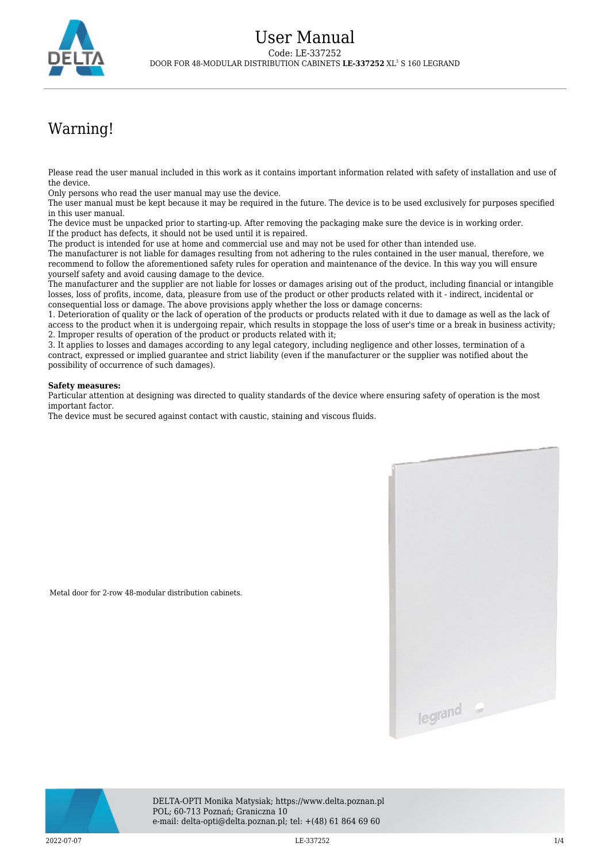

## Warning!

Please read the user manual included in this work as it contains important information related with safety of installation and use of the device.

Only persons who read the user manual may use the device.

Metal door for 2-row 48-modular distribution cabinets.

The user manual must be kept because it may be required in the future. The device is to be used exclusively for purposes specified in this user manual.

The device must be unpacked prior to starting-up. After removing the packaging make sure the device is in working order. If the product has defects, it should not be used until it is repaired.

The product is intended for use at home and commercial use and may not be used for other than intended use.

The manufacturer is not liable for damages resulting from not adhering to the rules contained in the user manual, therefore, we recommend to follow the aforementioned safety rules for operation and maintenance of the device. In this way you will ensure yourself safety and avoid causing damage to the device.

The manufacturer and the supplier are not liable for losses or damages arising out of the product, including financial or intangible losses, loss of profits, income, data, pleasure from use of the product or other products related with it - indirect, incidental or consequential loss or damage. The above provisions apply whether the loss or damage concerns:

1. Deterioration of quality or the lack of operation of the products or products related with it due to damage as well as the lack of access to the product when it is undergoing repair, which results in stoppage the loss of user's time or a break in business activity; 2. Improper results of operation of the product or products related with it;

3. It applies to losses and damages according to any legal category, including negligence and other losses, termination of a contract, expressed or implied guarantee and strict liability (even if the manufacturer or the supplier was notified about the possibility of occurrence of such damages).

## **Safety measures:**

Particular attention at designing was directed to quality standards of the device where ensuring safety of operation is the most important factor.

The device must be secured against contact with caustic, staining and viscous fluids.





DELTA-OPTI Monika Matysiak; https://www.delta.poznan.pl POL; 60-713 Poznań; Graniczna 10 e-mail: delta-opti@delta.poznan.pl; tel: +(48) 61 864 69 60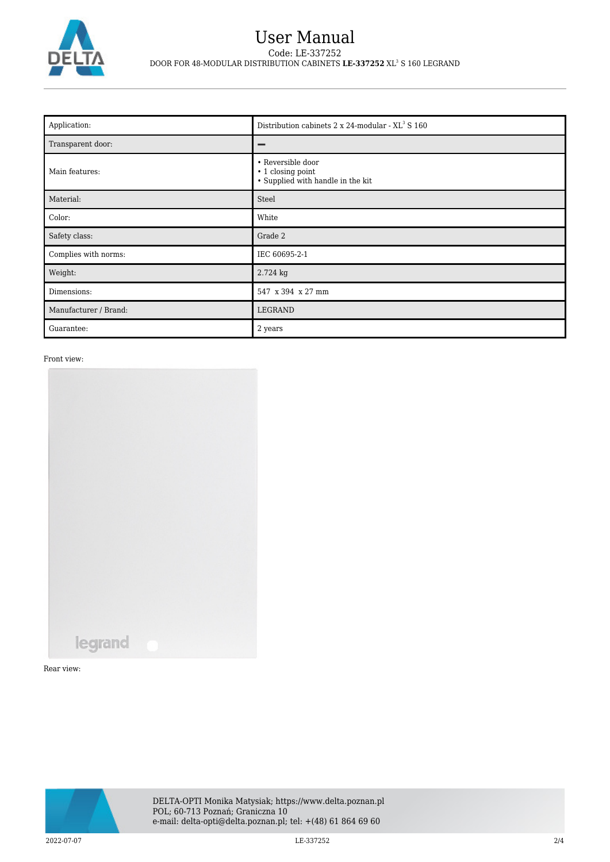

## User Manual Code: LE-337252 DOOR FOR 48-MODULAR DISTRIBUTION CABINETS **LE-337252** XL<sup>3</sup> S 160 LEGRAND

| Application:          | Distribution cabinets 2 x 24-modular - XL <sup>3</sup> S 160                |
|-----------------------|-----------------------------------------------------------------------------|
| Transparent door:     |                                                                             |
| Main features:        | • Reversible door<br>• 1 closing point<br>• Supplied with handle in the kit |
| Material:             | Steel                                                                       |
| Color:                | White                                                                       |
| Safety class:         | Grade 2                                                                     |
| Complies with norms:  | IEC 60695-2-1                                                               |
| Weight:               | 2.724 kg                                                                    |
| Dimensions:           | 547 x 394 x 27 mm                                                           |
| Manufacturer / Brand: | LEGRAND                                                                     |
| Guarantee:            | 2 years                                                                     |

Front view:



Rear view:

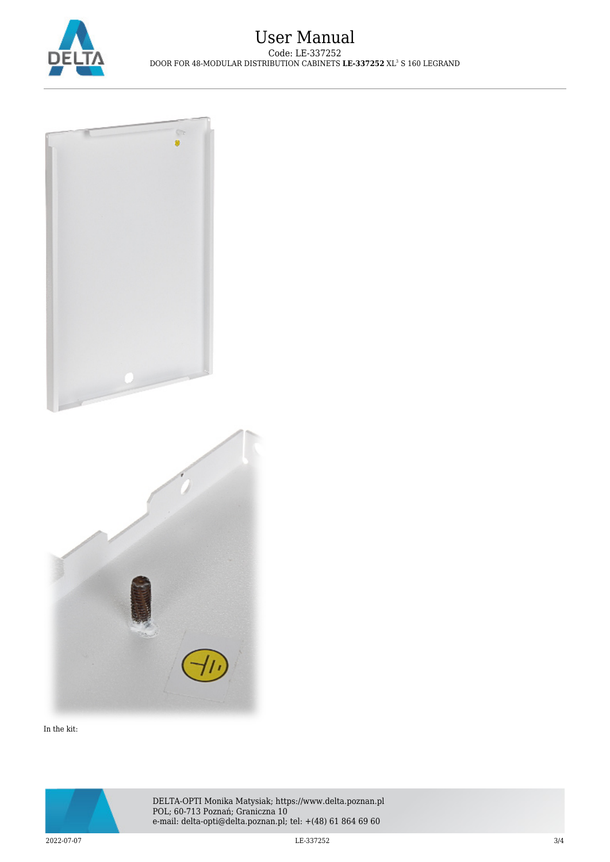



In the kit: